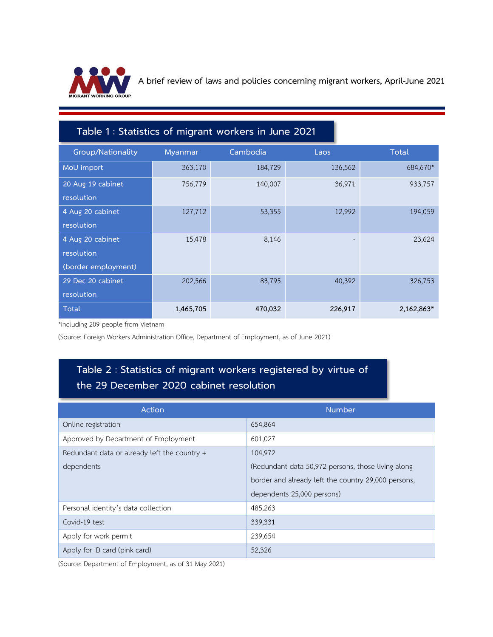

**A brief review of laws and policies concerning migrant workers, April-June 2021**

## Table 1 : Statistics of migrant workers in June 2021

| <b>Group/Nationality</b> | Myanmar   | Cambodia | Laos    | Total      |
|--------------------------|-----------|----------|---------|------------|
| MoU import               | 363,170   | 184,729  | 136,562 | 684,670*   |
| 20 Aug 19 cabinet        | 756,779   | 140,007  | 36,971  | 933,757    |
| resolution               |           |          |         |            |
| 4 Aug 20 cabinet         | 127,712   | 53,355   | 12,992  | 194,059    |
| resolution               |           |          |         |            |
| 4 Aug 20 cabinet         | 15,478    | 8,146    |         | 23,624     |
| resolution               |           |          |         |            |
| (border employment)      |           |          |         |            |
| 29 Dec 20 cabinet        | 202,566   | 83,795   | 40,392  | 326,753    |
| resolution               |           |          |         |            |
| Total                    | 1,465,705 | 470,032  | 226,917 | 2,162,863* |

\*including 209 people from Vietnam

(Source: Foreign Workers Administration Office, Department of Employment, as of June 2021)

## Table 2 : Statistics of migrant workers registered by virtue of the 29 December 2020 cabinet resolution

| Action                                       | <b>Number</b>                                       |  |  |
|----------------------------------------------|-----------------------------------------------------|--|--|
| Online registration                          | 654,864                                             |  |  |
| Approved by Department of Employment         | 601,027                                             |  |  |
| Redundant data or already left the country + | 104,972                                             |  |  |
| dependents                                   | (Redundant data 50,972 persons, those living along  |  |  |
|                                              | border and already left the country 29,000 persons, |  |  |
|                                              | dependents 25,000 persons)                          |  |  |
| Personal identity's data collection          | 485,263                                             |  |  |
| Covid-19 test                                | 339,331                                             |  |  |
| Apply for work permit                        | 239,654                                             |  |  |
| Apply for ID card (pink card)                | 52,326                                              |  |  |

(Source: Department of Employment, as of 31 May 2021)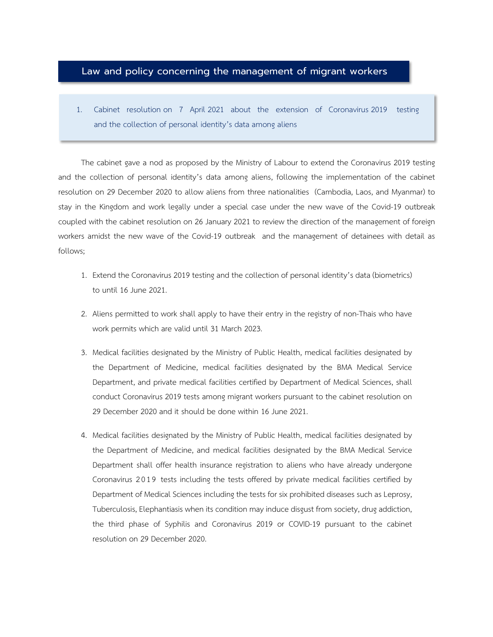## Law and policy concerning the management of migrant workers

1. Cabinet resolution on 7 April 2021 about the extension of Coronavirus 2019 testing and the collection of personal identity's data among aliens

The cabinet gave a nod as proposed by the Ministry of Labour to extend the Coronavirus 2019 testing and the collection of personal identity's data among aliens, following the implementation of the cabinet resolution on 29 December 2020 to allow aliens from three nationalities (Cambodia, Laos, and Myanmar) to stay in the Kingdom and work legally under a special case under the new wave of the Covid-19 outbreak coupled with the cabinet resolution on 26 January 2021 to review the direction of the management of foreign workers amidst the new wave of the Covid-19 outbreak and the management of detainees with detail as follows;

- 1. Extend the Coronavirus 2019 testing and the collection of personal identity's data (biometrics) to until 16 June 2021.
- 2. Aliens permitted to work shall apply to have their entry in the registry of non-Thais who have work permits which are valid until 31 March 2023.
- 3. Medical facilities designated by the Ministry of Public Health, medical facilities designated by the Department of Medicine, medical facilities designated by the BMA Medical Service Department, and private medical facilities certified by Department of Medical Sciences, shall conduct Coronavirus 2019 tests among migrant workers pursuant to the cabinet resolution on 29 December 2020 and it should be done within 16 June 2021.
- 4. Medical facilities designated by the Ministry of Public Health, medical facilities designated by the Department of Medicine, and medical facilities designated by the BMA Medical Service Department shall offer health insurance registration to aliens who have already undergone Coronavirus 2019 tests including the tests offered by private medical facilities certified by Department of Medical Sciences including the tests for six prohibited diseases such as Leprosy, Tuberculosis, Elephantiasis when its condition may induce disgust from society, drug addiction, the third phase of Syphilis and Coronavirus 2019 or COVID-19 pursuant to the cabinet resolution on 29 December 2020.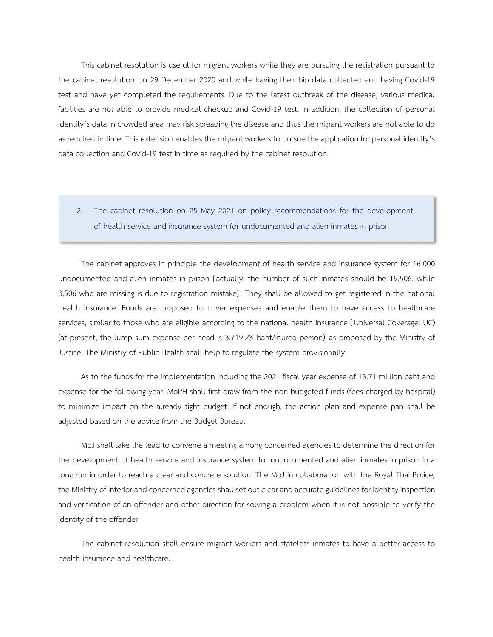This cabinet resolution is useful for migrant workers while they are pursuing the registration pursuant to the cabinet resolution on 29 December 2020 and while having their bio data collected and having Covid-19 test and have yet completed the requirements. Due to the latest outbreak of the disease, various medical facilities are not able to provide medical checkup and Covid-19 test. In addition, the collection of personal identity's data in crowded area may risk spreading the disease and thus the migrant workers are not able to do as required in time. This extension enables the migrant workers to pursue the application for personal identity's data collection and Covid-19 test in time as required by the cabinet resolution.

2. The cabinet resolution on 25 May 2021 on policy recommendations for the development of health service and insurance system for undocumented and alien inmates in prison

I

The cabinet approves in principle the development of health service and insurance system for 16.000 undocumented and alien inmates in prison [actually, the number of such inmates should be 19,506, while 3,506 who are missing is due to registration mistake] . They shall be allowed to get registered in the national health insurance. Funds are proposed to cover expenses and enable them to have access to healthcare services, similar to those who are eligible according to the national health insurance (Universal Coverage: UC) (at present, the lump sum expense per head is 3,719.23 baht/inured person) as proposed by the Ministry of Justice. The Ministry of Public Health shall help to regulate the system provisionally.

As to the funds for the implementation including the 2021 fiscal year expense of 13.71 million baht and expense for the following year, MoPH shall first draw from the non-budgeted funds (fees charged by hospital) to minimize impact on the already tight budget. If not enough, the action plan and expense pan shall be adjusted based on the advice from the Budget Bureau.

MoJ shall take the lead to convene a meeting among concerned agencies to determine the direction for the development of health service and insurance system for undocumented and alien inmates in prison in a long run in order to reach a clear and concrete solution. The MoJ in collaboration with the Royal Thai Police, the Ministry of Interior and concerned agencies shall set out clear and accurate guidelines for identity inspection and verification of an offender and other direction for solving a problem when it is not possible to verify the identity of the offender.

The cabinet resolution shall ensure migrant workers and stateless inmates to have a better access to health insurance and healthcare.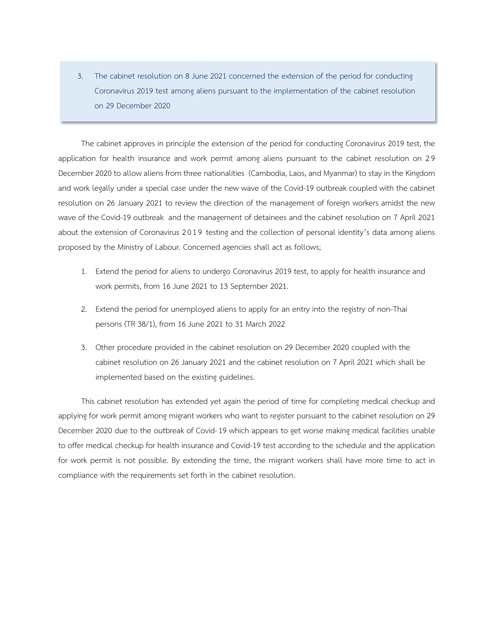3. The cabinet resolution on 8 June 2021 concerned the extension of the period for conducting Coronavirus 2019 test among aliens pursuant to the implementation of the cabinet resolution on 29 December 2020

The cabinet approves in principle the extension of the period for conducting Coronavirus 2019 test, the application for health insurance and work permit among aliens pursuant to the cabinet resolution on 29 December 2020 to allow aliens from three nationalities (Cambodia, Laos, and Myanmar) to stay in the Kingdom and work legally under a special case under the new wave of the Covid-19 outbreak coupled with the cabinet resolution on 26 January 2021 to review the direction of the management of foreign workers amidst the new wave of the Covid-19 outbreak and the management of detainees and the cabinet resolution on 7 April 2021 about the extension of Coronavirus 2019 testing and the collection of personal identity's data among aliens proposed by the Ministry of Labour. Concerned agencies shall act as follows;

- 1. Extend the period for aliens to undergo Coronavirus 2019 test, to apply for health insurance and work permits, from 16 June 2021 to 13 September 2021.
- 2. Extend the period for unemployed aliens to apply for an entry into the registry of non-Thai persons (TR 38/1), from 16 June 2021 to 31 March 2022
- 3. Other procedure provided in the cabinet resolution on 29 December 2020 coupled with the cabinet resolution on 26 January 2021 and the cabinet resolution on 7 April 2021 which shall be implemented based on the existing guidelines.

This cabinet resolution has extended yet again the period of time for completing medical checkup and applying for work permit among migrant workers who want to register pursuant to the cabinet resolution on 29 December 2020 due to the outbreak of Covid-19 which appears to get worse making medical facilities unable to offer medical checkup for health insurance and Covid-19 test according to the schedule and the application for work permit is not possible. By extending the time, the migrant workers shall have more time to act in compliance with the requirements set forth in the cabinet resolution.